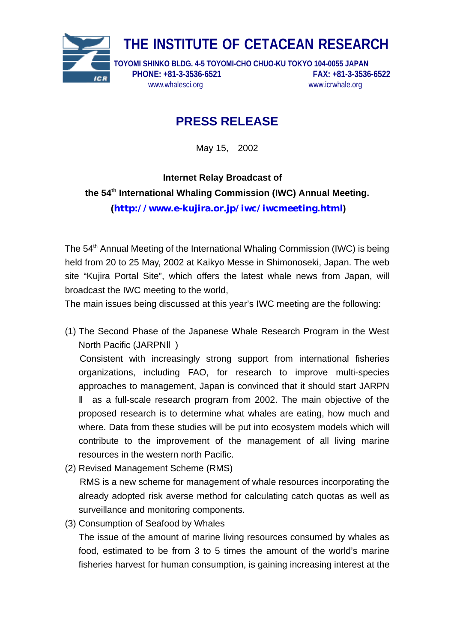

## **PRESS RELEASE**

May 15, 2002

**Internet Relay Broadcast of the 54th International Whaling Commission (IWC) Annual Meeting. (<http://www.e-kujira.or.jp/iwc/iwcmeeting.html>)**

The 54<sup>th</sup> Annual Meeting of the International Whaling Commission (IWC) is being held from 20 to 25 May, 2002 at Kaikyo Messe in Shimonoseki, Japan. The web site "Kujira Portal Site", which offers the latest whale news from Japan, will broadcast the IWC meeting to the world,

The main issues being discussed at this year's IWC meeting are the following:

(1) The Second Phase of the Japanese Whale Research Program in the West North Pacific (JARPN )

Consistent with increasingly strong support from international fisheries organizations, including FAO, for research to improve multi-species approaches to management, Japan is convinced that it should start JARPN

 as a full-scale research program from 2002. The main objective of the proposed research is to determine what whales are eating, how much and where. Data from these studies will be put into ecosystem models which will contribute to the improvement of the management of all living marine resources in the western north Pacific.

- (2) Revised Management Scheme (RMS) RMS is a new scheme for management of whale resources incorporating the already adopted risk averse method for calculating catch quotas as well as surveillance and monitoring components.
- (3) Consumption of Seafood by Whales

The issue of the amount of marine living resources consumed by whales as food, estimated to be from 3 to 5 times the amount of the world's marine fisheries harvest for human consumption, is gaining increasing interest at the